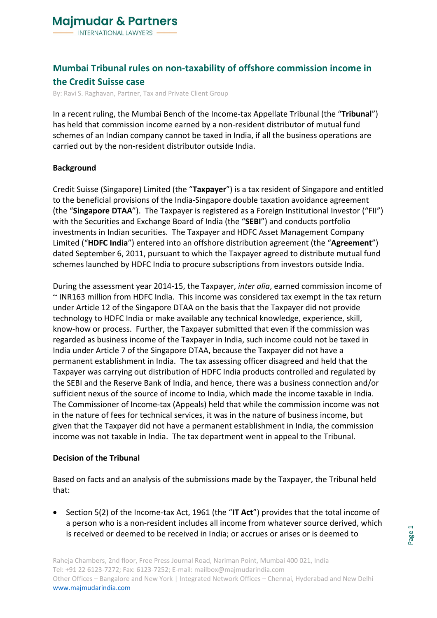## **Mumbai Tribunal rules on non-taxability of offshore commission income in the Credit Suisse case**

By: Ravi S. Raghavan, Partner, Tax and Private Client Group

In a recent ruling, the Mumbai Bench of the Income-tax Appellate Tribunal (the "**Tribunal**") has held that commission income earned by a non-resident distributor of mutual fund schemes of an Indian company cannot be taxed in India, if all the business operations are carried out by the non-resident distributor outside India.

### **Background**

Credit Suisse (Singapore) Limited (the "**Taxpayer**") is a tax resident of Singapore and entitled to the beneficial provisions of the India-Singapore double taxation avoidance agreement (the "**Singapore DTAA**"). The Taxpayer is registered as a Foreign Institutional Investor ("FII") with the Securities and Exchange Board of India (the "**SEBI**") and conducts portfolio investments in Indian securities. The Taxpayer and HDFC Asset Management Company Limited ("**HDFC India**") entered into an offshore distribution agreement (the "**Agreement**") dated September 6, 2011, pursuant to which the Taxpayer agreed to distribute mutual fund schemes launched by HDFC India to procure subscriptions from investors outside India.

During the assessment year 2014-15, the Taxpayer, *inter alia*, earned commission income of ~ INR163 million from HDFC India. This income was considered tax exempt in the tax return under Article 12 of the Singapore DTAA on the basis that the Taxpayer did not provide technology to HDFC India or make available any technical knowledge, experience, skill, know-how or process. Further, the Taxpayer submitted that even if the commission was regarded as business income of the Taxpayer in India, such income could not be taxed in India under Article 7 of the Singapore DTAA, because the Taxpayer did not have a permanent establishment in India. The tax assessing officer disagreed and held that the Taxpayer was carrying out distribution of HDFC India products controlled and regulated by the SEBI and the Reserve Bank of India, and hence, there was a business connection and/or sufficient nexus of the source of income to India, which made the income taxable in India. The Commissioner of Income-tax (Appeals) held that while the commission income was not in the nature of fees for technical services, it was in the nature of business income, but given that the Taxpayer did not have a permanent establishment in India, the commission income was not taxable in India. The tax department went in appeal to the Tribunal.

### **Decision of the Tribunal**

Based on facts and an analysis of the submissions made by the Taxpayer, the Tribunal held that:

• Section 5(2) of the Income-tax Act, 1961 (the "**IT Act**") provides that the total income of a person who is a non-resident includes all income from whatever source derived, which is received or deemed to be received in India; or accrues or arises or is deemed to

Raheja Chambers, 2nd floor, Free Press Journal Road, Nariman Point, Mumbai 400 021, India Tel: +91 22 6123-7272; Fax: 6123-7252; E-mail: mailbox@majmudarindia.com Other Offices – Bangalore and New York | Integrated Network Offices – Chennai, Hyderabad and New Delhi [www.majmudarindia.com](https://www.majmudarindia.com/)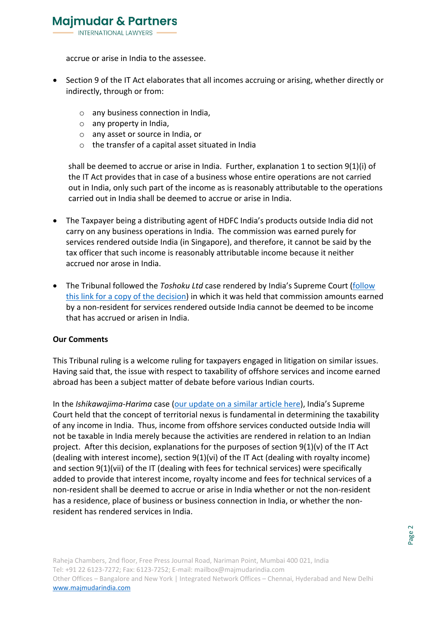accrue or arise in India to the assessee.

- Section 9 of the IT Act elaborates that all incomes accruing or arising, whether directly or indirectly, through or from:
	- o any business connection in India,
	- o any property in India,
	- o any asset or source in India, or
	- o the transfer of a capital asset situated in India

shall be deemed to accrue or arise in India. Further, explanation 1 to section 9(1)(i) of the IT Act provides that in case of a business whose entire operations are not carried out in India, only such part of the income as is reasonably attributable to the operations carried out in India shall be deemed to accrue or arise in India.

- The Taxpayer being a distributing agent of HDFC India's products outside India did not carry on any business operations in India. The commission was earned purely for services rendered outside India (in Singapore), and therefore, it cannot be said by the tax officer that such income is reasonably attributable income because it neither accrued nor arose in India.
- The Tribunal followed the *Toshoku Ltd* case rendered by India's Supreme Court [\(follow](https://indiankanoon.org/doc/1562662/)  [this link for a copy of the decision\)](https://indiankanoon.org/doc/1562662/) in which it was held that commission amounts earned by a non-resident for services rendered outside India cannot be deemed to be income that has accrued or arisen in India.

### **Our Comments**

This Tribunal ruling is a welcome ruling for taxpayers engaged in litigation on similar issues. Having said that, the issue with respect to taxability of offshore services and income earned abroad has been a subject matter of debate before various Indian courts.

In the *Ishikawajima-Harima* case [\(our update on a similar article here\)](https://www.majmudarindia.com/ravi-s-raghavan-aar-offshore-services-taxable-in-india/), India's Supreme Court held that the concept of territorial nexus is fundamental in determining the taxability of any income in India. Thus, income from offshore services conducted outside India will not be taxable in India merely because the activities are rendered in relation to an Indian project. After this decision, explanations for the purposes of section  $9(1)(v)$  of the IT Act (dealing with interest income), section 9(1)(vi) of the IT Act (dealing with royalty income) and section 9(1)(vii) of the IT (dealing with fees for technical services) were specifically added to provide that interest income, royalty income and fees for technical services of a non-resident shall be deemed to accrue or arise in India whether or not the non-resident has a residence, place of business or business connection in India, or whether the nonresident has rendered services in India.